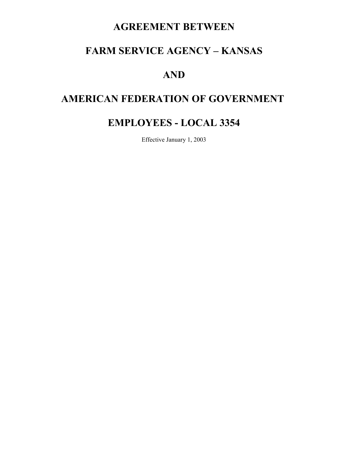# **AGREEMENT BETWEEN**

# **FARM SERVICE AGENCY – KANSAS**

# **AND**

# **AMERICAN FEDERATION OF GOVERNMENT**

# **EMPLOYEES - LOCAL 3354**

Effective January 1, 2003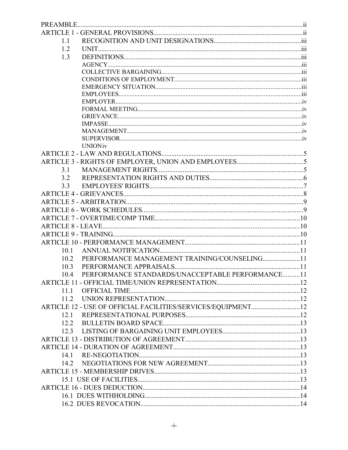| 1.1  |                                                              |  |  |
|------|--------------------------------------------------------------|--|--|
| 1.2  |                                                              |  |  |
| 1.3  |                                                              |  |  |
|      |                                                              |  |  |
|      |                                                              |  |  |
|      |                                                              |  |  |
|      |                                                              |  |  |
|      |                                                              |  |  |
|      |                                                              |  |  |
|      |                                                              |  |  |
|      |                                                              |  |  |
|      |                                                              |  |  |
|      |                                                              |  |  |
|      |                                                              |  |  |
|      | <b>UNION</b> iv                                              |  |  |
|      |                                                              |  |  |
|      |                                                              |  |  |
| 3.1  |                                                              |  |  |
| 32   |                                                              |  |  |
| 3.3  |                                                              |  |  |
|      |                                                              |  |  |
|      |                                                              |  |  |
|      |                                                              |  |  |
|      |                                                              |  |  |
|      |                                                              |  |  |
|      |                                                              |  |  |
|      |                                                              |  |  |
| 10.1 |                                                              |  |  |
| 10.2 | PERFORMANCE MANAGEMENT TRAINING/COUNSELING11                 |  |  |
| 10.3 |                                                              |  |  |
| 10.4 | PERFORMANCE STANDARDS/UNACCEPTABLE PERFORMANCE11             |  |  |
|      |                                                              |  |  |
| 11 1 |                                                              |  |  |
|      |                                                              |  |  |
|      | ARTICLE 12 - USE OF OFFICIAL FACILITIES/SERVICES/EQUIPMENT12 |  |  |
|      |                                                              |  |  |
|      |                                                              |  |  |
|      |                                                              |  |  |
|      |                                                              |  |  |
|      |                                                              |  |  |
| 14.1 |                                                              |  |  |
|      |                                                              |  |  |
|      |                                                              |  |  |
|      |                                                              |  |  |
|      |                                                              |  |  |
|      |                                                              |  |  |
|      |                                                              |  |  |
|      |                                                              |  |  |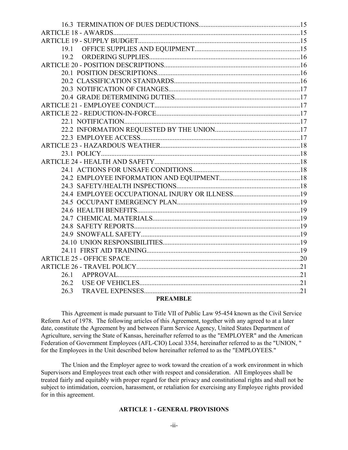| 192                     |  |
|-------------------------|--|
|                         |  |
|                         |  |
|                         |  |
|                         |  |
|                         |  |
|                         |  |
|                         |  |
|                         |  |
|                         |  |
|                         |  |
|                         |  |
|                         |  |
|                         |  |
|                         |  |
|                         |  |
|                         |  |
|                         |  |
|                         |  |
|                         |  |
|                         |  |
|                         |  |
|                         |  |
|                         |  |
|                         |  |
|                         |  |
|                         |  |
| 26.1                    |  |
| 26.2                    |  |
| 26.3<br><b>DDEAMDIE</b> |  |
|                         |  |

#### **PREAMBLE**

This Agreement is made pursuant to Title VII of Public Law 95-454 known as the Civil Service Reform Act of 1978. The following articles of this Agreement, together with any agreed to at a later date, constitute the Agreement by and between Farm Service Agency, United States Department of Agriculture, serving the State of Kansas, hereinafter referred to as the "EMPLOYER" and the American Federation of Government Employees (AFL-CIO) Local 3354, hereinafter referred to as the "UNION, " for the Employees in the Unit described below hereinafter referred to as the "EMPLOYEES."

The Union and the Employer agree to work toward the creation of a work environment in which Supervisors and Employees treat each other with respect and consideration. All Employees shall be treated fairly and equitably with proper regard for their privacy and constitutional rights and shall not be subject to intimidation, coercion, harassment, or retaliation for exercising any Employee rights provided for in this agreement.

#### **ARTICLE 1 - GENERAL PROVISIONS**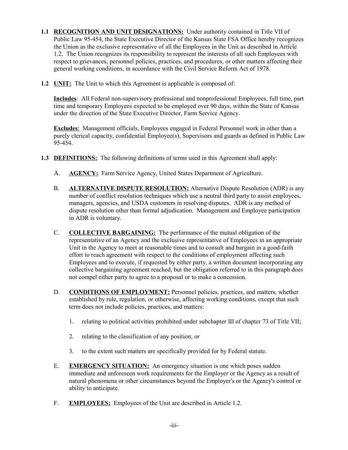- **1.1 RECOGNITION AND UNIT DESIGNATIONS:** Under authority contained in Title VII of Public Law 95-454, the State Executive Director of the Kansas State FSA Office hereby recognizes the Union as the exclusive representative of all the Employees in the Unit as described in Article 1.2. The Union recognizes its responsibility to represent the interests of all such Employees with respect to grievances, personnel policies, practices, and procedures, or other matters affecting their general working conditions, in accordance with the Civil Service Reform Act of 1978.
- **1.2 UNIT:** The Unit to which this Agreement is applicable is composed of:

**Includes**: All Federal non-supervisory professional and nonprofessional Employees, full time, part time and temporary Employees expected to be employed over 90 days, within the State of Kansas under the direction of the State Executive Director, Farm Service Agency.

**Excludes:** Management officials, Employees engaged in Federal Personnel work in other than a purely clerical capacity, confidential Employee(s), Supervisors and guards as defined in Public Law 95-454.

- **1.3 DEFINITIONS:** The following definitions of terms used in this Agreement shall apply:
	- A. **AGENCY:** Farm Service Agency, United States Department of Agriculture.
	- B. **ALTERNATIVE DISPUTE RESOLUTION:** Alternative Dispute Resolution (ADR) is any number of conflict resolution techniques which use a neutral third party to assist employees, managers, agencies, and USDA customers in resolving disputes. ADR is any method of dispute resolution other than formal adjudication. Management and Employee participation in ADR is voluntary.
	- C. **COLLECTIVE BARGAINING:** The performance of the mutual obligation of the representative of an Agency and the exclusive representative of Employees in an appropriate Unit in the Agency to meet at reasonable times and to consult and bargain in a good-faith effort to reach agreement with respect to the conditions of employment affecting such Employees and to execute, if requested by either party, a written document incorporating any collective bargaining agreement reached, but the obligation referred to in this paragraph does not compel either party to agree to a proposal or to make a concession.
	- D. **CONDITIONS OF EMPLOYMENT:** Personnel policies, practices, and matters, whether established by rule, regulation, or otherwise, affecting working conditions, except that such term does not include policies, practices, and matters:
		- 1. relating to political activities prohibited under subchapter III of chapter 73 of Title VII;
		- 2. relating to the classification of any position; or
		- 3. to the extent such matters are specifically provided for by Federal statute.
	- E. **EMERGENCY SITUATION:** An emergency situation is one which poses sudden immediate and unforeseen work requirements for the Employer or the Agency as a result of natural phenomena or other circumstances beyond the Employer's or the Agency's control or ability to anticipate.
	- F. **EMPLOYEES:** Employees of the Unit are described in Article 1.2.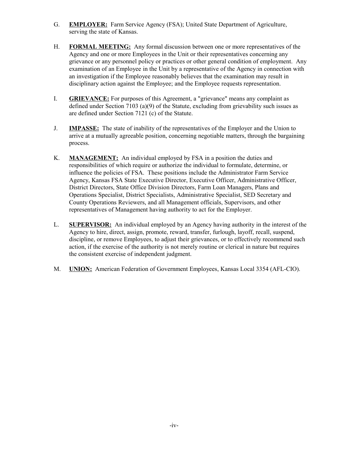- G. **EMPLOYER:** Farm Service Agency (FSA); United State Department of Agriculture, serving the state of Kansas.
- H. **FORMAL MEETING:** Any formal discussion between one or more representatives of the Agency and one or more Employees in the Unit or their representatives concerning any grievance or any personnel policy or practices or other general condition of employment. Any examination of an Employee in the Unit by a representative of the Agency in connection with an investigation if the Employee reasonably believes that the examination may result in disciplinary action against the Employee; and the Employee requests representation.
- I. **GRIEVANCE:** For purposes of this Agreement, a "grievance" means any complaint as defined under Section 7103 (a)(9) of the Statute, excluding from grievability such issues as are defined under Section 7121 (c) of the Statute.
- J. **IMPASSE:** The state of inability of the representatives of the Employer and the Union to arrive at a mutually agreeable position, concerning negotiable matters, through the bargaining process.
- K. **MANAGEMENT:** An individual employed by FSA in a position the duties and responsibilities of which require or authorize the individual to formulate, determine, or influence the policies of FSA. These positions include the Administrator Farm Service Agency, Kansas FSA State Executive Director, Executive Officer, Administrative Officer, District Directors, State Office Division Directors, Farm Loan Managers, Plans and Operations Specialist, District Specialists, Administrative Specialist, SED Secretary and County Operations Reviewers, and all Management officials, Supervisors, and other representatives of Management having authority to act for the Employer.
- L. **SUPERVISOR:** An individual employed by an Agency having authority in the interest of the Agency to hire, direct, assign, promote, reward, transfer, furlough, layoff, recall, suspend, discipline, or remove Employees, to adjust their grievances, or to effectively recommend such action, if the exercise of the authority is not merely routine or clerical in nature but requires the consistent exercise of independent judgment.
- M. **UNION:** American Federation of Government Employees, Kansas Local 3354 (AFL-CIO).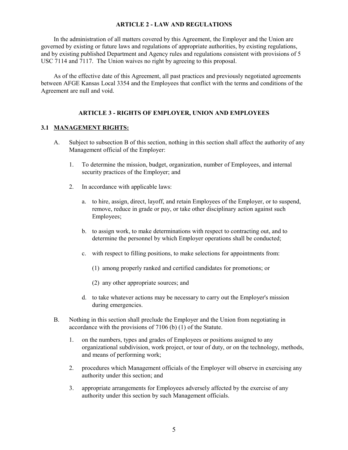#### **ARTICLE 2 - LAW AND REGULATIONS**

In the administration of all matters covered by this Agreement, the Employer and the Union are governed by existing or future laws and regulations of appropriate authorities, by existing regulations, and by existing published Department and Agency rules and regulations consistent with provisions of 5 USC 7114 and 7117. The Union waives no right by agreeing to this proposal.

As of the effective date of this Agreement, all past practices and previously negotiated agreements between AFGE Kansas Local 3354 and the Employees that conflict with the terms and conditions of the Agreement are null and void.

#### **ARTICLE 3 - RIGHTS OF EMPLOYER, UNION AND EMPLOYEES**

#### **3.1 MANAGEMENT RIGHTS:**

- A. Subject to subsection B of this section, nothing in this section shall affect the authority of any Management official of the Employer:
	- 1. To determine the mission, budget, organization, number of Employees, and internal security practices of the Employer; and
	- 2. In accordance with applicable laws:
		- a. to hire, assign, direct, layoff, and retain Employees of the Employer, or to suspend, remove, reduce in grade or pay, or take other disciplinary action against such Employees;
		- b. to assign work, to make determinations with respect to contracting out, and to determine the personnel by which Employer operations shall be conducted;
		- c. with respect to filling positions, to make selections for appointments from:
			- (1) among properly ranked and certified candidates for promotions; or
			- (2) any other appropriate sources; and
		- d. to take whatever actions may be necessary to carry out the Employer's mission during emergencies.
- B. Nothing in this section shall preclude the Employer and the Union from negotiating in accordance with the provisions of 7106 (b) (1) of the Statute.
	- 1. on the numbers, types and grades of Employees or positions assigned to any organizational subdivision, work project, or tour of duty, or on the technology, methods, and means of performing work;
	- 2. procedures which Management officials of the Employer will observe in exercising any authority under this section; and
	- 3. appropriate arrangements for Employees adversely affected by the exercise of any authority under this section by such Management officials.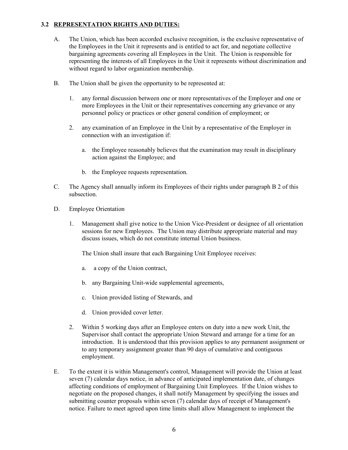## **3.2 REPRESENTATION RIGHTS AND DUTIES:**

- A. The Union, which has been accorded exclusive recognition, is the exclusive representative of the Employees in the Unit it represents and is entitled to act for, and negotiate collective bargaining agreements covering all Employees in the Unit. The Union is responsible for representing the interests of all Employees in the Unit it represents without discrimination and without regard to labor organization membership.
- B. The Union shall be given the opportunity to be represented at:
	- 1. any formal discussion between one or more representatives of the Employer and one or more Employees in the Unit or their representatives concerning any grievance or any personnel policy or practices or other general condition of employment; or
	- 2. any examination of an Employee in the Unit by a representative of the Employer in connection with an investigation if:
		- a. the Employee reasonably believes that the examination may result in disciplinary action against the Employee; and
		- b. the Employee requests representation.
- C. The Agency shall annually inform its Employees of their rights under paragraph B 2 of this subsection.
- D. Employee Orientation
	- 1. Management shall give notice to the Union Vice-President or designee of all orientation sessions for new Employees. The Union may distribute appropriate material and may discuss issues, which do not constitute internal Union business.

The Union shall insure that each Bargaining Unit Employee receives:

- a. a copy of the Union contract,
- b. any Bargaining Unit-wide supplemental agreements,
- c. Union provided listing of Stewards, and
- d. Union provided cover letter.
- 2. Within 5 working days after an Employee enters on duty into a new work Unit, the Supervisor shall contact the appropriate Union Steward and arrange for a time for an introduction. It is understood that this provision applies to any permanent assignment or to any temporary assignment greater than 90 days of cumulative and contiguous employment.
- E. To the extent it is within Management's control, Management will provide the Union at least seven (7) calendar days notice, in advance of anticipated implementation date, of changes affecting conditions of employment of Bargaining Unit Employees. If the Union wishes to negotiate on the proposed changes, it shall notify Management by specifying the issues and submitting counter proposals within seven (7) calendar days of receipt of Management's notice. Failure to meet agreed upon time limits shall allow Management to implement the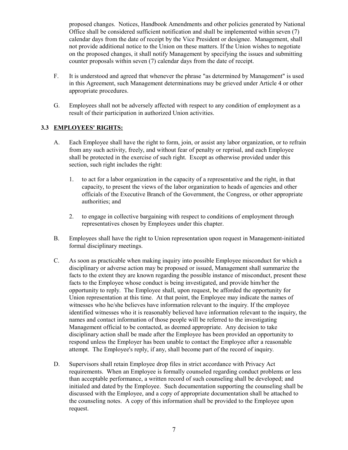proposed changes. Notices, Handbook Amendments and other policies generated by National Office shall be considered sufficient notification and shall be implemented within seven (7) calendar days from the date of receipt by the Vice President or designee. Management, shall not provide additional notice to the Union on these matters. If the Union wishes to negotiate on the proposed changes, it shall notify Management by specifying the issues and submitting counter proposals within seven (7) calendar days from the date of receipt.

- F. It is understood and agreed that whenever the phrase "as determined by Management" is used in this Agreement, such Management determinations may be grieved under Article 4 or other appropriate procedures.
- G. Employees shall not be adversely affected with respect to any condition of employment as a result of their participation in authorized Union activities.

## **3.3 EMPLOYEES' RIGHTS:**

- A. Each Employee shall have the right to form, join, or assist any labor organization, or to refrain from any such activity, freely, and without fear of penalty or reprisal, and each Employee shall be protected in the exercise of such right. Except as otherwise provided under this section, such right includes the right:
	- 1. to act for a labor organization in the capacity of a representative and the right, in that capacity, to present the views of the labor organization to heads of agencies and other officials of the Executive Branch of the Government, the Congress, or other appropriate authorities; and
	- 2. to engage in collective bargaining with respect to conditions of employment through representatives chosen by Employees under this chapter.
- B. Employees shall have the right to Union representation upon request in Management-initiated formal disciplinary meetings.
- C. As soon as practicable when making inquiry into possible Employee misconduct for which a disciplinary or adverse action may be proposed or issued, Management shall summarize the facts to the extent they are known regarding the possible instance of misconduct, present these facts to the Employee whose conduct is being investigated, and provide him/her the opportunity to reply. The Employee shall, upon request, be afforded the opportunity for Union representation at this time. At that point, the Employee may indicate the names of witnesses who he/she believes have information relevant to the inquiry. If the employee identified witnesses who it is reasonably believed have information relevant to the inquiry, the names and contact information of those people will be referred to the investigating Management official to be contacted, as deemed appropriate. Any decision to take disciplinary action shall be made after the Employee has been provided an opportunity to respond unless the Employer has been unable to contact the Employee after a reasonable attempt. The Employee's reply, if any, shall become part of the record of inquiry.
- D. Supervisors shall retain Employee drop files in strict accordance with Privacy Act requirements. When an Employee is formally counseled regarding conduct problems or less than acceptable performance, a written record of such counseling shall be developed; and initialed and dated by the Employee. Such documentation supporting the counseling shall be discussed with the Employee, and a copy of appropriate documentation shall be attached to the counseling notes. A copy of this information shall be provided to the Employee upon request.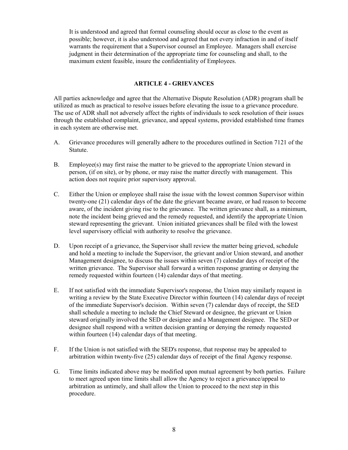It is understood and agreed that formal counseling should occur as close to the event as possible; however, it is also understood and agreed that not every infraction in and of itself warrants the requirement that a Supervisor counsel an Employee. Managers shall exercise judgment in their determination of the appropriate time for counseling and shall, to the maximum extent feasible, insure the confidentiality of Employees.

#### **ARTICLE 4 - GRIEVANCES**

All parties acknowledge and agree that the Alternative Dispute Resolution (ADR) program shall be utilized as much as practical to resolve issues before elevating the issue to a grievance procedure. The use of ADR shall not adversely affect the rights of individuals to seek resolution of their issues through the established complaint, grievance, and appeal systems, provided established time frames in each system are otherwise met.

- A. Grievance procedures will generally adhere to the procedures outlined in Section 7121 of the Statute.
- B. Employee(s) may first raise the matter to be grieved to the appropriate Union steward in person, (if on site), or by phone, or may raise the matter directly with management. This action does not require prior supervisory approval.
- C. Either the Union or employee shall raise the issue with the lowest common Supervisor within twenty-one (21) calendar days of the date the grievant became aware, or had reason to become aware, of the incident giving rise to the grievance. The written grievance shall, as a minimum, note the incident being grieved and the remedy requested, and identify the appropriate Union steward representing the grievant. Union initiated grievances shall be filed with the lowest level supervisory official with authority to resolve the grievance.
- D. Upon receipt of a grievance, the Supervisor shall review the matter being grieved, schedule and hold a meeting to include the Supervisor, the grievant and/or Union steward, and another Management designee, to discuss the issues within seven (7) calendar days of receipt of the written grievance. The Supervisor shall forward a written response granting or denying the remedy requested within fourteen (14) calendar days of that meeting.
- E. If not satisfied with the immediate Supervisor's response, the Union may similarly request in writing a review by the State Executive Director within fourteen (14) calendar days of receipt of the immediate Supervisor's decision. Within seven (7) calendar days of receipt, the SED shall schedule a meeting to include the Chief Steward or designee, the grievant or Union steward originally involved the SED or designee and a Management designee. The SED or designee shall respond with a written decision granting or denying the remedy requested within fourteen (14) calendar days of that meeting.
- F. If the Union is not satisfied with the SED's response, that response may be appealed to arbitration within twenty-five (25) calendar days of receipt of the final Agency response.
- G. Time limits indicated above may be modified upon mutual agreement by both parties. Failure to meet agreed upon time limits shall allow the Agency to reject a grievance/appeal to arbitration as untimely, and shall allow the Union to proceed to the next step in this procedure.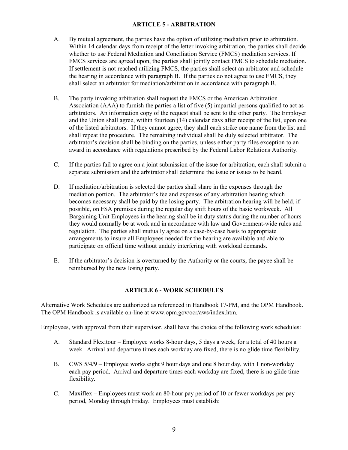#### **ARTICLE 5 - ARBITRATION**

- A. By mutual agreement, the parties have the option of utilizing mediation prior to arbitration. Within 14 calendar days from receipt of the letter invoking arbitration, the parties shall decide whether to use Federal Mediation and Conciliation Service (FMCS) mediation services. If FMCS services are agreed upon, the parties shall jointly contact FMCS to schedule mediation. If settlement is not reached utilizing FMCS, the parties shall select an arbitrator and schedule the hearing in accordance with paragraph B. If the parties do not agree to use FMCS, they shall select an arbitrator for mediation/arbitration in accordance with paragraph B.
- B. The party invoking arbitration shall request the FMCS or the American Arbitration Association (AAA) to furnish the parties a list of five (5) impartial persons qualified to act as arbitrators. An information copy of the request shall be sent to the other party. The Employer and the Union shall agree, within fourteen (14) calendar days after receipt of the list, upon one of the listed arbitrators. If they cannot agree, they shall each strike one name from the list and shall repeat the procedure. The remaining individual shall be duly selected arbitrator. The arbitrator's decision shall be binding on the parties, unless either party files exception to an award in accordance with regulations prescribed by the Federal Labor Relations Authority.
- C. If the parties fail to agree on a joint submission of the issue for arbitration, each shall submit a separate submission and the arbitrator shall determine the issue or issues to be heard.
- D. If mediation/arbitration is selected the parties shall share in the expenses through the mediation portion. The arbitrator's fee and expenses of any arbitration hearing which becomes necessary shall be paid by the losing party. The arbitration hearing will be held, if possible, on FSA premises during the regular day shift hours of the basic workweek. All Bargaining Unit Employees in the hearing shall be in duty status during the number of hours they would normally be at work and in accordance with law and Government-wide rules and regulation. The parties shall mutually agree on a case-by-case basis to appropriate arrangements to insure all Employees needed for the hearing are available and able to participate on official time without unduly interfering with workload demands.
- E. If the arbitrator's decision is overturned by the Authority or the courts, the payee shall be reimbursed by the new losing party.

## **ARTICLE 6 - WORK SCHEDULES**

Alternative Work Schedules are authorized as referenced in Handbook 17-PM, and the OPM Handbook. The OPM Handbook is available on-line at www.opm.gov/ocr/aws/index.htm.

Employees, with approval from their supervisor, shall have the choice of the following work schedules:

- A. Standard Flexitour Employee works 8-hour days, 5 days a week, for a total of 40 hours a week. Arrival and departure times each workday are fixed, there is no glide time flexibility.
- B. CWS 5/4/9 Employee works eight 9 hour days and one 8 hour day, with 1 non-workday each pay period. Arrival and departure times each workday are fixed, there is no glide time flexibility.
- C. Maxiflex Employees must work an 80-hour pay period of 10 or fewer workdays per pay period, Monday through Friday. Employees must establish: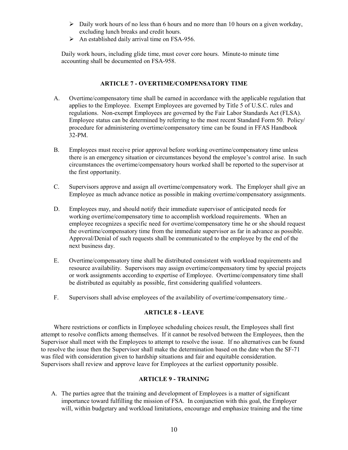- $\triangleright$  Daily work hours of no less than 6 hours and no more than 10 hours on a given workday, excluding lunch breaks and credit hours.
- $\triangleright$  An established daily arrival time on FSA-956.

Daily work hours, including glide time, must cover core hours. Minute-to minute time accounting shall be documented on FSA-958.

#### **ARTICLE 7 - OVERTIME/COMPENSATORY TIME**

- A. Overtime/compensatory time shall be earned in accordance with the applicable regulation that applies to the Employee. Exempt Employees are governed by Title 5 of U.S.C. rules and regulations. Non-exempt Employees are governed by the Fair Labor Standards Act (FLSA). Employee status can be determined by referring to the most recent Standard Form 50. Policy/ procedure for administering overtime/compensatory time can be found in FFAS Handbook 32-PM.
- B. Employees must receive prior approval before working overtime/compensatory time unless there is an emergency situation or circumstances beyond the employee's control arise. In such circumstances the overtime/compensatory hours worked shall be reported to the supervisor at the first opportunity.
- C. Supervisors approve and assign all overtime/compensatory work. The Employer shall give an Employee as much advance notice as possible in making overtime/compensatory assignments.
- D. Employees may, and should notify their immediate supervisor of anticipated needs for working overtime/compensatory time to accomplish workload requirements. When an employee recognizes a specific need for overtime/compensatory time he or she should request the overtime/compensatory time from the immediate supervisor as far in advance as possible. Approval/Denial of such requests shall be communicated to the employee by the end of the next business day.
- E. Overtime/compensatory time shall be distributed consistent with workload requirements and resource availability. Supervisors may assign overtime/compensatory time by special projects or work assignments according to expertise of Employee. Overtime/compensatory time shall be distributed as equitably as possible, first considering qualified volunteers.
- F. Supervisors shall advise employees of the availability of overtime/compensatory time.

## **ARTICLE 8 - LEAVE**

Where restrictions or conflicts in Employee scheduling choices result, the Employees shall first attempt to resolve conflicts among themselves. If it cannot be resolved between the Employees, then the Supervisor shall meet with the Employees to attempt to resolve the issue. If no alternatives can be found to resolve the issue then the Supervisor shall make the determination based on the date when the SF-71 was filed with consideration given to hardship situations and fair and equitable consideration. Supervisors shall review and approve leave for Employees at the earliest opportunity possible.

#### **ARTICLE 9 - TRAINING**

A. The parties agree that the training and development of Employees is a matter of significant importance toward fulfilling the mission of FSA. In conjunction with this goal, the Employer will, within budgetary and workload limitations, encourage and emphasize training and the time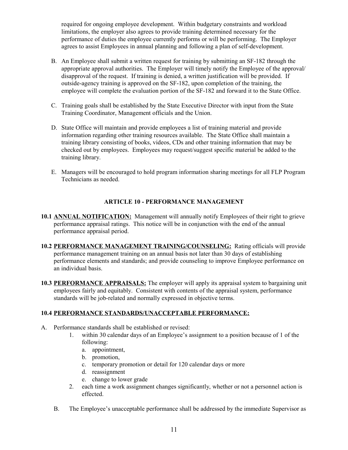required for ongoing employee development. Within budgetary constraints and workload limitations, the employer also agrees to provide training determined necessary for the performance of duties the employee currently performs or will be performing. The Employer agrees to assist Employees in annual planning and following a plan of self-development.

- B. An Employee shall submit a written request for training by submitting an SF-182 through the appropriate approval authorities. The Employer will timely notify the Employee of the approval/ disapproval of the request. If training is denied, a written justification will be provided. If outside-agency training is approved on the SF-182, upon completion of the training, the employee will complete the evaluation portion of the SF-182 and forward it to the State Office.
- C. Training goals shall be established by the State Executive Director with input from the State Training Coordinator, Management officials and the Union.
- D. State Office will maintain and provide employees a list of training material and provide information regarding other training resources available. The State Office shall maintain a training library consisting of books, videos, CDs and other training information that may be checked out by employees. Employees may request/suggest specific material be added to the training library.
- E. Managers will be encouraged to hold program information sharing meetings for all FLP Program Technicians as needed.

## **ARTICLE 10 - PERFORMANCE MANAGEMENT**

- **10.1 ANNUAL NOTIFICATION:** Management will annually notify Employees of their right to grieve performance appraisal ratings. This notice will be in conjunction with the end of the annual performance appraisal period.
- **10.2 PERFORMANCE MANAGEMENT TRAINING/COUNSELING:** Rating officials will provide performance management training on an annual basis not later than 30 days of establishing performance elements and standards; and provide counseling to improve Employee performance on an individual basis.
- **10.3 PERFORMANCE APPRAISALS:** The employer will apply its appraisal system to bargaining unit employees fairly and equitably. Consistent with contents of the appraisal system, performance standards will be job-related and normally expressed in objective terms.

## **10.4 PERFORMANCE STANDARDS/UNACCEPTABLE PERFORMANCE:**

- A. Performance standards shall be established or revised:
	- 1. within 30 calendar days of an Employee's assignment to a position because of 1 of the following:
		- a. appointment,
		- b. promotion,
		- c. temporary promotion or detail for 120 calendar days or more
		- d. reassignment
		- e. change to lower grade
	- 2. each time a work assignment changes significantly, whether or not a personnel action is effected.
	- B. The Employee's unacceptable performance shall be addressed by the immediate Supervisor as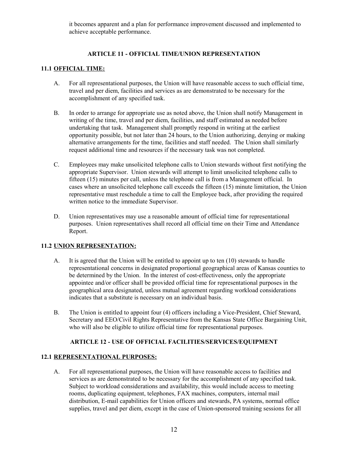it becomes apparent and a plan for performance improvement discussed and implemented to achieve acceptable performance.

## **ARTICLE 11 - OFFICIAL TIME/UNION REPRESENTATION**

# **11.1 OFFICIAL TIME:**

- A. For all representational purposes, the Union will have reasonable access to such official time, travel and per diem, facilities and services as are demonstrated to be necessary for the accomplishment of any specified task.
- B. In order to arrange for appropriate use as noted above, the Union shall notify Management in writing of the time, travel and per diem, facilities, and staff estimated as needed before undertaking that task. Management shall promptly respond in writing at the earliest opportunity possible, but not later than 24 hours, to the Union authorizing, denying or making alternative arrangements for the time, facilities and staff needed. The Union shall similarly request additional time and resources if the necessary task was not completed.
- C. Employees may make unsolicited telephone calls to Union stewards without first notifying the appropriate Supervisor. Union stewards will attempt to limit unsolicited telephone calls to fifteen (15) minutes per call, unless the telephone call is from a Management official. In cases where an unsolicited telephone call exceeds the fifteen (15) minute limitation, the Union representative must reschedule a time to call the Employee back, after providing the required written notice to the immediate Supervisor.
- D. Union representatives may use a reasonable amount of official time for representational purposes. Union representatives shall record all official time on their Time and Attendance Report.

## **11.2 UNION REPRESENTATION:**

- A. It is agreed that the Union will be entitled to appoint up to ten (10) stewards to handle representational concerns in designated proportional geographical areas of Kansas counties to be determined by the Union. In the interest of cost-effectiveness, only the appropriate appointee and/or officer shall be provided official time for representational purposes in the geographical area designated, unless mutual agreement regarding workload considerations indicates that a substitute is necessary on an individual basis.
- B. The Union is entitled to appoint four (4) officers including a Vice-President, Chief Steward, Secretary and EEO/Civil Rights Representative from the Kansas State Office Bargaining Unit, who will also be eligible to utilize official time for representational purposes.

## **ARTICLE 12 - USE OF OFFICIAL FACILITIES/SERVICES/EQUIPMENT**

#### **12.1 REPRESENTATIONAL PURPOSES:**

A. For all representational purposes, the Union will have reasonable access to facilities and services as are demonstrated to be necessary for the accomplishment of any specified task. Subject to workload considerations and availability, this would include access to meeting rooms, duplicating equipment, telephones, FAX machines, computers, internal mail distribution, E-mail capabilities for Union officers and stewards, PA systems, normal office supplies, travel and per diem, except in the case of Union-sponsored training sessions for all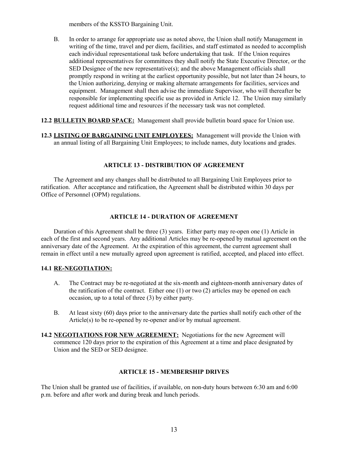members of the KSSTO Bargaining Unit.

- B. In order to arrange for appropriate use as noted above, the Union shall notify Management in writing of the time, travel and per diem, facilities, and staff estimated as needed to accomplish each individual representational task before undertaking that task. If the Union requires additional representatives for committees they shall notify the State Executive Director, or the SED Designee of the new representative(s); and the above Management officials shall promptly respond in writing at the earliest opportunity possible, but not later than 24 hours, to the Union authorizing, denying or making alternate arrangements for facilities, services and equipment. Management shall then advise the immediate Supervisor, who will thereafter be responsible for implementing specific use as provided in Article 12. The Union may similarly request additional time and resources if the necessary task was not completed.
- **12.2 BULLETIN BOARD SPACE:** Management shall provide bulletin board space for Union use.
- **12.3 LISTING OF BARGAINING UNIT EMPLOYEES:** Management will provide the Union with an annual listing of all Bargaining Unit Employees; to include names, duty locations and grades.

#### **ARTICLE 13 - DISTRIBUTION OF AGREEMENT**

The Agreement and any changes shall be distributed to all Bargaining Unit Employees prior to ratification. After acceptance and ratification, the Agreement shall be distributed within 30 days per Office of Personnel (OPM) regulations.

#### **ARTICLE 14 - DURATION OF AGREEMENT**

Duration of this Agreement shall be three (3) years. Either party may re-open one (1) Article in each of the first and second years. Any additional Articles may be re-opened by mutual agreement on the anniversary date of the Agreement. At the expiration of this agreement, the current agreement shall remain in effect until a new mutually agreed upon agreement is ratified, accepted, and placed into effect.

#### **14.1 RE-NEGOTIATION:**

- A. The Contract may be re-negotiated at the six-month and eighteen-month anniversary dates of the ratification of the contract. Either one (1) or two (2) articles may be opened on each occasion, up to a total of three (3) by either party.
- B. At least sixty (60) days prior to the anniversary date the parties shall notify each other of the Article(s) to be re-opened by re-opener and/or by mutual agreement.
- **14.2 NEGOTIATIONS FOR NEW AGREEMENT:** Negotiations for the new Agreement will commence 120 days prior to the expiration of this Agreement at a time and place designated by Union and the SED or SED designee.

#### **ARTICLE 15 - MEMBERSHIP DRIVES**

The Union shall be granted use of facilities, if available, on non-duty hours between 6:30 am and 6:00 p.m. before and after work and during break and lunch periods.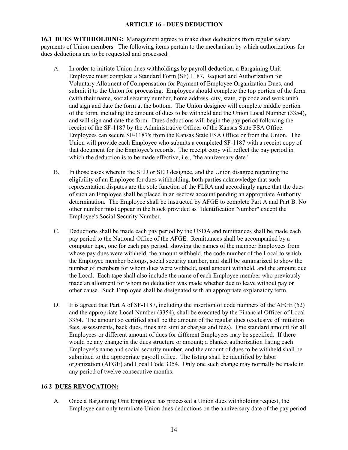#### **ARTICLE 16 - DUES DEDUCTION**

**16.1 DUES WITHHOLDING:** Management agrees to make dues deductions from regular salary payments of Union members. The following items pertain to the mechanism by which authorizations for dues deductions are to be requested and processed.

- A. In order to initiate Union dues withholdings by payroll deduction, a Bargaining Unit Employee must complete a Standard Form (SF) 1187, Request and Authorization for Voluntary Allotment of Compensation for Payment of Employee Organization Dues, and submit it to the Union for processing. Employees should complete the top portion of the form (with their name, social security number, home address, city, state, zip code and work unit) and sign and date the form at the bottom. The Union designee will complete middle portion of the form, including the amount of dues to be withheld and the Union Local Number (3354), and will sign and date the form. Dues deductions will begin the pay period following the receipt of the SF-1187 by the Administrative Officer of the Kansas State FSA Office. Employees can secure SF-1187's from the Kansas State FSA Office or from the Union. The Union will provide each Employee who submits a completed SF-1187 with a receipt copy of that document for the Employee's records. The receipt copy will reflect the pay period in which the deduction is to be made effective, *i.e.*, "the anniversary date."
- B. In those cases wherein the SED or SED designee, and the Union disagree regarding the eligibility of an Employee for dues withholding, both parties acknowledge that such representation disputes are the sole function of the FLRA and accordingly agree that the dues of such an Employee shall be placed in an escrow account pending an appropriate Authority determination. The Employee shall be instructed by AFGE to complete Part A and Part B. No other number must appear in the block provided as "Identification Number" except the Employee's Social Security Number.
- C. Deductions shall be made each pay period by the USDA and remittances shall be made each pay period to the National Office of the AFGE. Remittances shall be accompanied by a computer tape, one for each pay period, showing the names of the member Employees from whose pay dues were withheld, the amount withheld, the code number of the Local to which the Employee member belongs, social security number, and shall be summarized to show the number of members for whom dues were withheld, total amount withheld, and the amount due the Local. Each tape shall also include the name of each Employee member who previously made an allotment for whom no deduction was made whether due to leave without pay or other cause. Such Employee shall be designated with an appropriate explanatory term.
- D. It is agreed that Part A of SF-1187, including the insertion of code numbers of the AFGE (52) and the appropriate Local Number (3354), shall be executed by the Financial Officer of Local 3354. The amount so certified shall be the amount of the regular dues (exclusive of initiation fees, assessments, back dues, fines and similar charges and fees). One standard amount for all Employees or different amount of dues for different Employees may be specified. If there would be any change in the dues structure or amount; a blanket authorization listing each Employee's name and social security number, and the amount of dues to be withheld shall be submitted to the appropriate payroll office. The listing shall be identified by labor organization (AFGE) and Local Code 3354. Only one such change may normally be made in any period of twelve consecutive months.

## **16.2 DUES REVOCATION:**

A. Once a Bargaining Unit Employee has processed a Union dues withholding request, the Employee can only terminate Union dues deductions on the anniversary date of the pay period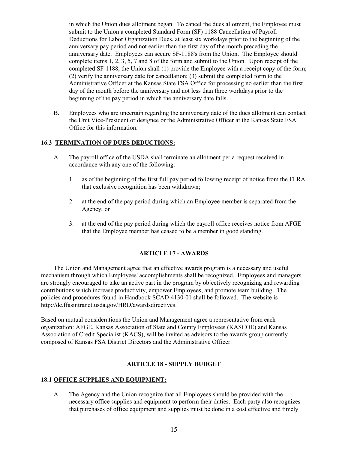in which the Union dues allotment began. To cancel the dues allotment, the Employee must submit to the Union a completed Standard Form (SF) 1188 Cancellation of Payroll Deductions for Labor Organization Dues, at least six workdays prior to the beginning of the anniversary pay period and not earlier than the first day of the month preceding the anniversary date. Employees can secure SF-1188's from the Union. The Employee should complete items 1, 2, 3, 5, 7 and 8 of the form and submit to the Union. Upon receipt of the completed SF-1188, the Union shall (1) provide the Employee with a receipt copy of the form; (2) verify the anniversary date for cancellation; (3) submit the completed form to the Administrative Officer at the Kansas State FSA Office for processing no earlier than the first day of the month before the anniversary and not less than three workdays prior to the beginning of the pay period in which the anniversary date falls.

B. Employees who are uncertain regarding the anniversary date of the dues allotment can contact the Unit Vice-President or designee or the Administrative Officer at the Kansas State FSA Office for this information.

## **16.3 TERMINATION OF DUES DEDUCTIONS:**

- A. The payroll office of the USDA shall terminate an allotment per a request received in accordance with any one of the following:
	- 1. as of the beginning of the first full pay period following receipt of notice from the FLRA that exclusive recognition has been withdrawn;
	- 2. at the end of the pay period during which an Employee member is separated from the Agency; or
	- 3. at the end of the pay period during which the payroll office receives notice from AFGE that the Employee member has ceased to be a member in good standing.

## **ARTICLE 17 - AWARDS**

The Union and Management agree that an effective awards program is a necessary and useful mechanism through which Employees' accomplishments shall be recognized. Employees and managers are strongly encouraged to take an active part in the program by objectively recognizing and rewarding contributions which increase productivity, empower Employees, and promote team building. The policies and procedures found in Handbook SCAD-4130-01 shall be followed. The website is http://dc.ffasintranet.usda.gov/HRD/awardsdirectives.

Based on mutual considerations the Union and Management agree a representative from each organization: AFGE, Kansas Association of State and County Employees (KASCOE) and Kansas Association of Credit Specialist (KACS), will be invited as advisors to the awards group currently composed of Kansas FSA District Directors and the Administrative Officer.

## **ARTICLE 18 - SUPPLY BUDGET**

## **18.1 OFFICE SUPPLIES AND EQUIPMENT:**

A. The Agency and the Union recognize that all Employees should be provided with the necessary office supplies and equipment to perform their duties. Each party also recognizes that purchases of office equipment and supplies must be done in a cost effective and timely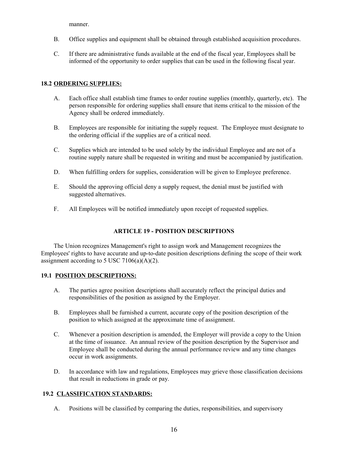manner.

- B. Office supplies and equipment shall be obtained through established acquisition procedures.
- C. If there are administrative funds available at the end of the fiscal year, Employees shall be informed of the opportunity to order supplies that can be used in the following fiscal year.

#### **18.2 ORDERING SUPPLIES:**

- A. Each office shall establish time frames to order routine supplies (monthly, quarterly, etc). The person responsible for ordering supplies shall ensure that items critical to the mission of the Agency shall be ordered immediately.
- B. Employees are responsible for initiating the supply request. The Employee must designate to the ordering official if the supplies are of a critical need.
- C. Supplies which are intended to be used solely by the individual Employee and are not of a routine supply nature shall be requested in writing and must be accompanied by justification.
- D. When fulfilling orders for supplies, consideration will be given to Employee preference.
- E. Should the approving official deny a supply request, the denial must be justified with suggested alternatives.
- F. All Employees will be notified immediately upon receipt of requested supplies.

## **ARTICLE 19 - POSITION DESCRIPTIONS**

The Union recognizes Management's right to assign work and Management recognizes the Employees' rights to have accurate and up-to-date position descriptions defining the scope of their work assignment according to 5 USC 7106(a)(A)(2).

#### **19.1 POSITION DESCRIPTIONS:**

- A. The parties agree position descriptions shall accurately reflect the principal duties and responsibilities of the position as assigned by the Employer.
- B. Employees shall be furnished a current, accurate copy of the position description of the position to which assigned at the approximate time of assignment.
- C. Whenever a position description is amended, the Employer will provide a copy to the Union at the time of issuance. An annual review of the position description by the Supervisor and Employee shall be conducted during the annual performance review and any time changes occur in work assignments.
- D. In accordance with law and regulations, Employees may grieve those classification decisions that result in reductions in grade or pay.

#### **19.2 CLASSIFICATION STANDARDS:**

A. Positions will be classified by comparing the duties, responsibilities, and supervisory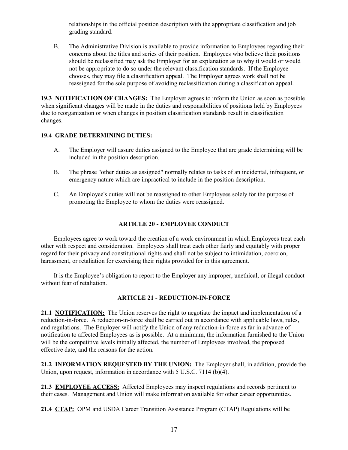relationships in the official position description with the appropriate classification and job grading standard.

B. The Administrative Division is available to provide information to Employees regarding their concerns about the titles and series of their position. Employees who believe their positions should be reclassified may ask the Employer for an explanation as to why it would or would not be appropriate to do so under the relevant classification standards. If the Employee chooses, they may file a classification appeal. The Employer agrees work shall not be reassigned for the sole purpose of avoiding reclassification during a classification appeal.

**19.3 NOTIFICATION OF CHANGES:** The Employer agrees to inform the Union as soon as possible when significant changes will be made in the duties and responsibilities of positions held by Employees due to reorganization or when changes in position classification standards result in classification changes.

## **19.4 GRADE DETERMINING DUTIES:**

- A. The Employer will assure duties assigned to the Employee that are grade determining will be included in the position description.
- B. The phrase "other duties as assigned" normally relates to tasks of an incidental, infrequent, or emergency nature which are impractical to include in the position description.
- C. An Employee's duties will not be reassigned to other Employees solely for the purpose of promoting the Employee to whom the duties were reassigned.

## **ARTICLE 20 - EMPLOYEE CONDUCT**

Employees agree to work toward the creation of a work environment in which Employees treat each other with respect and consideration. Employees shall treat each other fairly and equitably with proper regard for their privacy and constitutional rights and shall not be subject to intimidation, coercion, harassment, or retaliation for exercising their rights provided for in this agreement.

It is the Employee's obligation to report to the Employer any improper, unethical, or illegal conduct without fear of retaliation.

## **ARTICLE 21 - REDUCTION-IN-FORCE**

**21.1 NOTIFICATION:** The Union reserves the right to negotiate the impact and implementation of a reduction-in-force. A reduction-in-force shall be carried out in accordance with applicable laws, rules, and regulations. The Employer will notify the Union of any reduction-in-force as far in advance of notification to affected Employees as is possible. At a minimum, the information furnished to the Union will be the competitive levels initially affected, the number of Employees involved, the proposed effective date, and the reasons for the action.

**21.2 INFORMATION REQUESTED BY THE UNION:** The Employer shall, in addition, provide the Union, upon request, information in accordance with 5 U.S.C. 7114 (b)(4).

**21.3 EMPLOYEE ACCESS:** Affected Employees may inspect regulations and records pertinent to their cases. Management and Union will make information available for other career opportunities.

**21.4 CTAP:** OPM and USDA Career Transition Assistance Program (CTAP) Regulations will be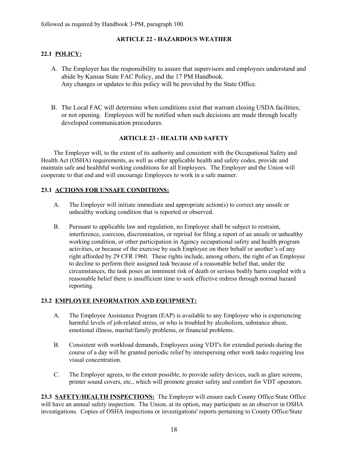followed as required by Handbook 3-PM, paragraph 100.

## **ARTICLE 22 - HAZARDOUS WEATHER**

## **22.1 POLICY:**

- A. The Employer has the responsibility to assure that supervisors and employees understand and abide by Kansas State FAC Policy, and the 17 PM Handbook. Any changes or updates to this policy will be provided by the State Office.
- B. The Local FAC will determine when conditions exist that warrant closing USDA facilities; or not opening. Employees will be notified when such decisions are made through locally developed communication procedures.

## **ARTICLE 23 - HEALTH AND SAFETY**

The Employer will, to the extent of its authority and consistent with the Occupational Safety and Health Act (OSHA) requirements, as well as other applicable health and safety codes, provide and maintain safe and healthful working conditions for all Employees. The Employer and the Union will cooperate to that end and will encourage Employees to work in a safe manner.

## **23.1 ACTIONS FOR UNSAFE CONDITIONS:**

- A. The Employer will initiate immediate and appropriate action(s) to correct any unsafe or unhealthy working condition that is reported or observed.
- B. Pursuant to applicable law and regulation, no Employee shall be subject to restraint, interference, coercion, discrimination, or reprisal for filing a report of an unsafe or unhealthy working condition, or other participation in Agency occupational safety and health program activities, or because of the exercise by such Employee on their behalf or another's of any right afforded by 29 CFR 1960. These rights include, among others, the right of an Employee to decline to perform their assigned task because of a reasonable belief that, under the circumstances, the task poses an imminent risk of death or serious bodily harm coupled with a reasonable belief there is insufficient time to seek effective redress through normal hazard reporting.

## **23.2 EMPLOYEE INFORMATION AND EQUIPMENT:**

- A. The Employee Assistance Program (EAP) is available to any Employee who is experiencing harmful levels of job-related stress, or who is troubled by alcoholism, substance abuse, emotional illness, marital/family problems, or financial problems.
- B. Consistent with workload demands, Employees using VDT's for extended periods during the course of a day will be granted periodic relief by interspersing other work tasks requiring less visual concentration.
- C. The Employer agrees, to the extent possible, to provide safety devices, such as glare screens, printer sound covers, etc., which will promote greater safety and comfort for VDT operators.

**23.3 SAFETY/HEALTH INSPECTIONS:** The Employer will ensure each County Office/State Office will have an annual safety inspection. The Union, at its option, may participate as an observer in OSHA investigations. Copies of OSHA inspections or investigations' reports pertaining to County Office/State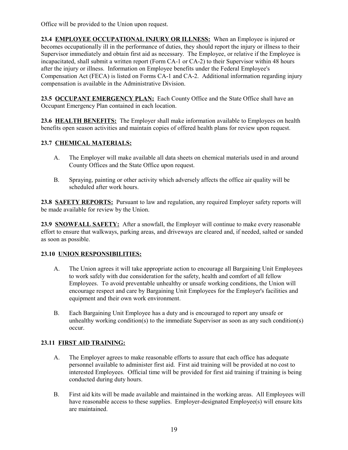Office will be provided to the Union upon request.

**23.4 EMPLOYEE OCCUPATIONAL INJURY OR ILLNESS:** When an Employee is injured or becomes occupationally ill in the performance of duties, they should report the injury or illness to their Supervisor immediately and obtain first aid as necessary. The Employee, or relative if the Employee is incapacitated, shall submit a written report (Form CA-1 or CA-2) to their Supervisor within 48 hours after the injury or illness. Information on Employee benefits under the Federal Employee's Compensation Act (FECA) is listed on Forms CA-1 and CA-2. Additional information regarding injury compensation is available in the Administrative Division.

**23.5 OCCUPANT EMERGENCY PLAN:** Each County Office and the State Office shall have an Occupant Emergency Plan contained in each location.

**23.6 HEALTH BENEFITS:** The Employer shall make information available to Employees on health benefits open season activities and maintain copies of offered health plans for review upon request.

# **23.7 CHEMICAL MATERIALS:**

- A. The Employer will make available all data sheets on chemical materials used in and around County Offices and the State Office upon request.
- B. Spraying, painting or other activity which adversely affects the office air quality will be scheduled after work hours.

**23.8 SAFETY REPORTS:** Pursuant to law and regulation, any required Employer safety reports will be made available for review by the Union.

23.9 SNOWFALL SAFETY: After a snowfall, the Employer will continue to make every reasonable effort to ensure that walkways, parking areas, and driveways are cleared and, if needed, salted or sanded as soon as possible.

# **23.10 UNION RESPONSIBILITIES:**

- A. The Union agrees it will take appropriate action to encourage all Bargaining Unit Employees to work safely with due consideration for the safety, health and comfort of all fellow Employees. To avoid preventable unhealthy or unsafe working conditions, the Union will encourage respect and care by Bargaining Unit Employees for the Employer's facilities and equipment and their own work environment.
- B. Each Bargaining Unit Employee has a duty and is encouraged to report any unsafe or unhealthy working condition(s) to the immediate Supervisor as soon as any such condition(s) occur.

# **23.11 FIRST AID TRAINING:**

- A. The Employer agrees to make reasonable efforts to assure that each office has adequate personnel available to administer first aid. First aid training will be provided at no cost to interested Employees. Official time will be provided for first aid training if training is being conducted during duty hours.
- B. First aid kits will be made available and maintained in the working areas. All Employees will have reasonable access to these supplies. Employer-designated Employee(s) will ensure kits are maintained.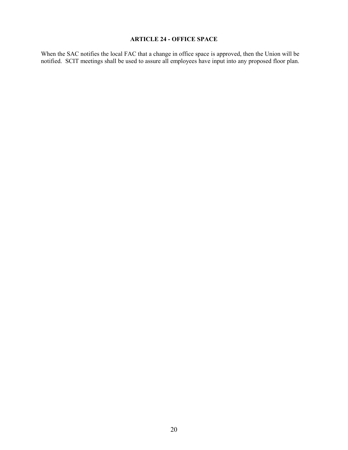# **ARTICLE 24 - OFFICE SPACE**

When the SAC notifies the local FAC that a change in office space is approved, then the Union will be notified. SCIT meetings shall be used to assure all employees have input into any proposed floor plan.